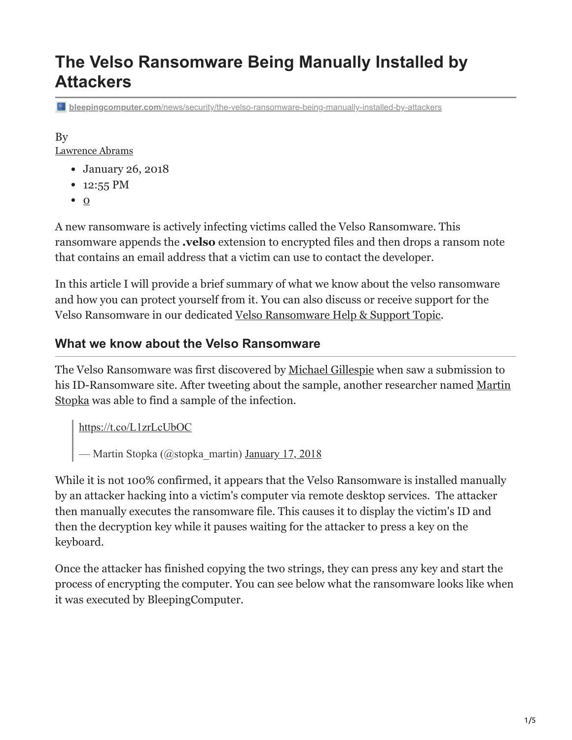# **The Velso Ransomware Being Manually Installed by Attackers**

**bleepingcomputer.com**[/news/security/the-velso-ransomware-being-manually-installed-by-attackers](https://www.bleepingcomputer.com/news/security/the-velso-ransomware-being-manually-installed-by-attackers/)

### By

[Lawrence Abrams](https://www.bleepingcomputer.com/author/lawrence-abrams/)

- January 26, 2018
- 12:55 PM
- $\bullet$  0

A new ransomware is actively infecting victims called the Velso Ransomware. This ransomware appends the **.velso** extension to encrypted files and then drops a ransom note that contains an email address that a victim can use to contact the developer.

In this article I will provide a brief summary of what we know about the velso ransomware and how you can protect yourself from it. You can also discuss or receive support for the Velso Ransomware in our dedicated [Velso Ransomware Help & Support Topic.](https://www.bleepingcomputer.com/forums/t/669206/velso-ransomware-help-support-topic-velso-get-my-filestxt/)

### **What we know about the Velso Ransomware**

The Velso Ransomware was first discovered by [Michael Gillespie](https://twitter.com/demonslay335) when saw a submission to [his ID-Ransomware site. After tweeting about the sample, another researcher named Martin](https://twitter.com/stopka_martin) Stopka was able to find a sample of the infection.

<https://t.co/L1zrLcUbOC>

— Martin Stopka (@stopka\_martin) [January 17, 2018](https://twitter.com/stopka_martin/status/953703184513544192?ref_src=twsrc%5Etfw)

While it is not 100% confirmed, it appears that the Velso Ransomware is installed manually by an attacker hacking into a victim's computer via remote desktop services. The attacker then manually executes the ransomware file. This causes it to display the victim's ID and then the decryption key while it pauses waiting for the attacker to press a key on the keyboard.

Once the attacker has finished copying the two strings, they can press any key and start the process of encrypting the computer. You can see below what the ransomware looks like when it was executed by BleepingComputer.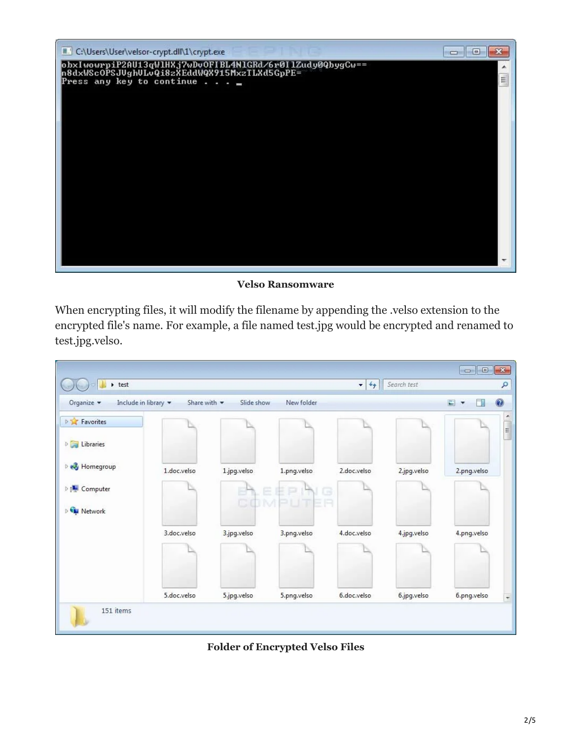

#### **Velso Ransomware**

When encrypting files, it will modify the filename by appending the .velso extension to the encrypted file's name. For example, a file named test.jpg would be encrypted and renamed to test.jpg.velso.

|                                  |                                 |             |                    |                                              |             | $\begin{array}{c c c c c} \hline \multicolumn{1}{c }{\mathbf{E}} & \multicolumn{1}{c }{\mathbf{X}} \end{array}$ |                          |
|----------------------------------|---------------------------------|-------------|--------------------|----------------------------------------------|-------------|-----------------------------------------------------------------------------------------------------------------|--------------------------|
| $\rightarrow$ test               |                                 |             |                    | Search test<br>$4 +$<br>$\blacktriangledown$ |             | ٩                                                                                                               |                          |
| Include in library<br>Organize - | Share with $\blacktriangledown$ | Slide show  | New folder         |                                              |             | E<br>一部<br>$\overline{\mathbf{v}}$                                                                              | 0                        |
| <b>P</b> Favorites               |                                 |             |                    |                                              |             |                                                                                                                 | ۸<br>$\mathbb{H}$        |
| <b>D</b> Libraries               |                                 |             |                    |                                              |             |                                                                                                                 |                          |
| <b>B</b> Homegroup               | 1.doc.velso                     | 1.jpg.velso | 1.png.velso        | 2.doc.velso                                  | 2.jpg.velso | 2.png.velso                                                                                                     |                          |
| D <sub>1</sub> Computer          |                                 | COM         | Ē.<br>G<br>UNITE H |                                              |             |                                                                                                                 |                          |
| <b>FL Network</b>                |                                 |             |                    |                                              |             |                                                                                                                 |                          |
|                                  | 3.doc.velso                     | 3.jpg.velso | 3.png.velso        | 4.doc.velso                                  | 4.jpg.velso | 4.png.velso                                                                                                     |                          |
|                                  |                                 |             |                    |                                              |             |                                                                                                                 |                          |
|                                  | 5.doc.velso                     | 5.jpg.velso | 5.png.velso        | 6.doc.velso                                  | 6.jpg.velso | 6.png.velso                                                                                                     | $\overline{\phantom{a}}$ |
| 151 items                        |                                 |             |                    |                                              |             |                                                                                                                 |                          |

**Folder of Encrypted Velso Files**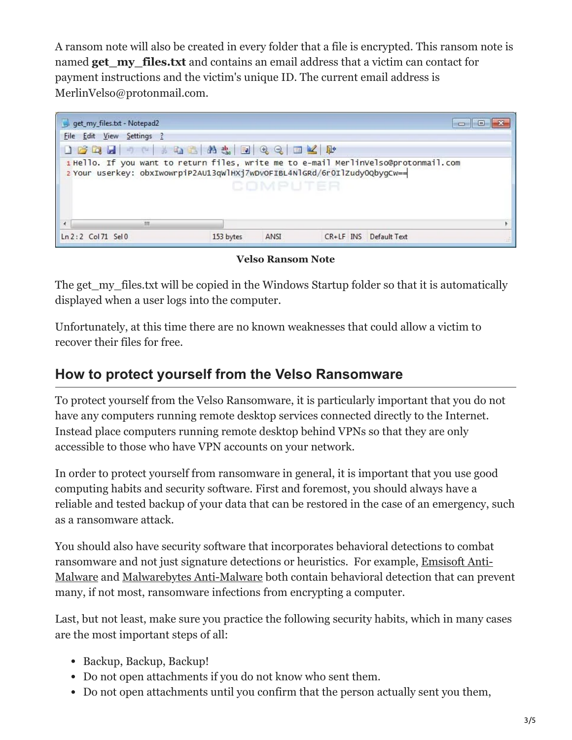A ransom note will also be created in every folder that a file is encrypted. This ransom note is named **get** my files.txt and contains an email address that a victim can contact for payment instructions and the victim's unique ID. The current email address is MerlinVelso@protonmail.com.



**Velso Ransom Note**

The get my\_files.txt will be copied in the Windows Startup folder so that it is automatically displayed when a user logs into the computer.

Unfortunately, at this time there are no known weaknesses that could allow a victim to recover their files for free.

### **How to protect yourself from the Velso Ransomware**

To protect yourself from the Velso Ransomware, it is particularly important that you do not have any computers running remote desktop services connected directly to the Internet. Instead place computers running remote desktop behind VPNs so that they are only accessible to those who have VPN accounts on your network.

In order to protect yourself from ransomware in general, it is important that you use good computing habits and security software. First and foremost, you should always have a reliable and tested backup of your data that can be restored in the case of an emergency, such as a ransomware attack.

You should also have security software that incorporates behavioral detections to combat ransomware and not just signature detections or heuristics. For example, Emsisoft Anti-[Malware and Malwarebytes Anti-Malware both contain behavioral detection that can pre](https://www.bleepingcomputer.com/download/emsisoft-anti-malware/)vent many, if not most, ransomware infections from encrypting a computer.

Last, but not least, make sure you practice the following security habits, which in many cases are the most important steps of all:

- Backup, Backup, Backup!
- Do not open attachments if you do not know who sent them.
- Do not open attachments until you confirm that the person actually sent you them,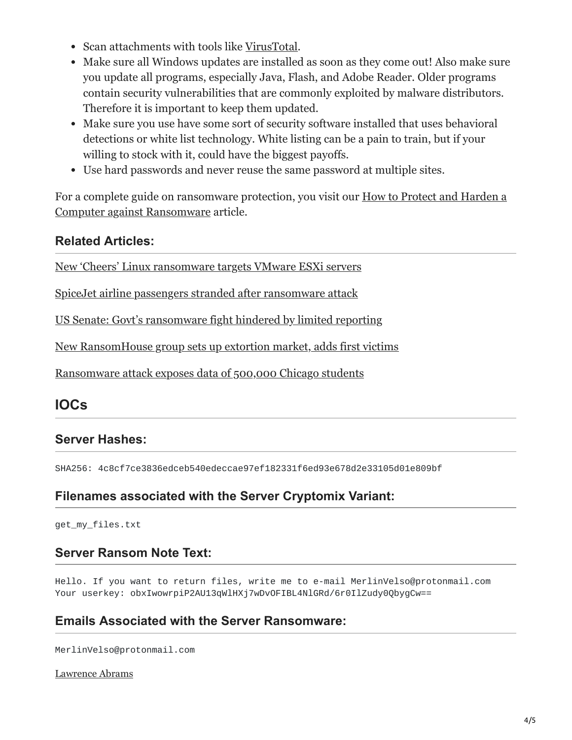- Scan attachments with tools like [VirusTotal.](https://www.virustotal.com/#/home/upload)
- Make sure all Windows updates are installed as soon as they come out! Also make sure you update all programs, especially Java, Flash, and Adobe Reader. Older programs contain security vulnerabilities that are commonly exploited by malware distributors. Therefore it is important to keep them updated.
- Make sure you use have some sort of security software installed that uses behavioral detections or white list technology. White listing can be a pain to train, but if your willing to stock with it, could have the biggest payoffs.
- Use hard passwords and never reuse the same password at multiple sites.

[For a complete guide on ransomware protection, you visit our How to Protect and Harden a](https://www.bleepingcomputer.com/news/security/how-to-protect-and-harden-a-computer-against-ransomware/) Computer against Ransomware article.

### **Related Articles:**

[New 'Cheers' Linux ransomware targets VMware ESXi servers](https://www.bleepingcomputer.com/news/security/new-cheers-linux-ransomware-targets-vmware-esxi-servers/)

[SpiceJet airline passengers stranded after ransomware attack](https://www.bleepingcomputer.com/news/security/spicejet-airline-passengers-stranded-after-ransomware-attack/)

[US Senate: Govt's ransomware fight hindered by limited reporting](https://www.bleepingcomputer.com/news/security/us-senate-govt-s-ransomware-fight-hindered-by-limited-reporting/)

[New RansomHouse group sets up extortion market, adds first victims](https://www.bleepingcomputer.com/news/security/new-ransomhouse-group-sets-up-extortion-market-adds-first-victims/)

[Ransomware attack exposes data of 500,000 Chicago students](https://www.bleepingcomputer.com/news/security/ransomware-attack-exposes-data-of-500-000-chicago-students/)

## **IOCs**

### **Server Hashes:**

SHA256: 4c8cf7ce3836edceb540edeccae97ef182331f6ed93e678d2e33105d01e809bf

### **Filenames associated with the Server Cryptomix Variant:**

get\_my\_files.txt

#### **Server Ransom Note Text:**

Hello. If you want to return files, write me to e-mail MerlinVelso@protonmail.com Your userkey: obxIwowrpiP2AU13qWlHXj7wDv0FIBL4NlGRd/6r0IlZudy0QbyqCw==

### **Emails Associated with the Server Ransomware:**

MerlinVelso@protonmail.com

[Lawrence Abrams](https://www.bleepingcomputer.com/author/lawrence-abrams/)